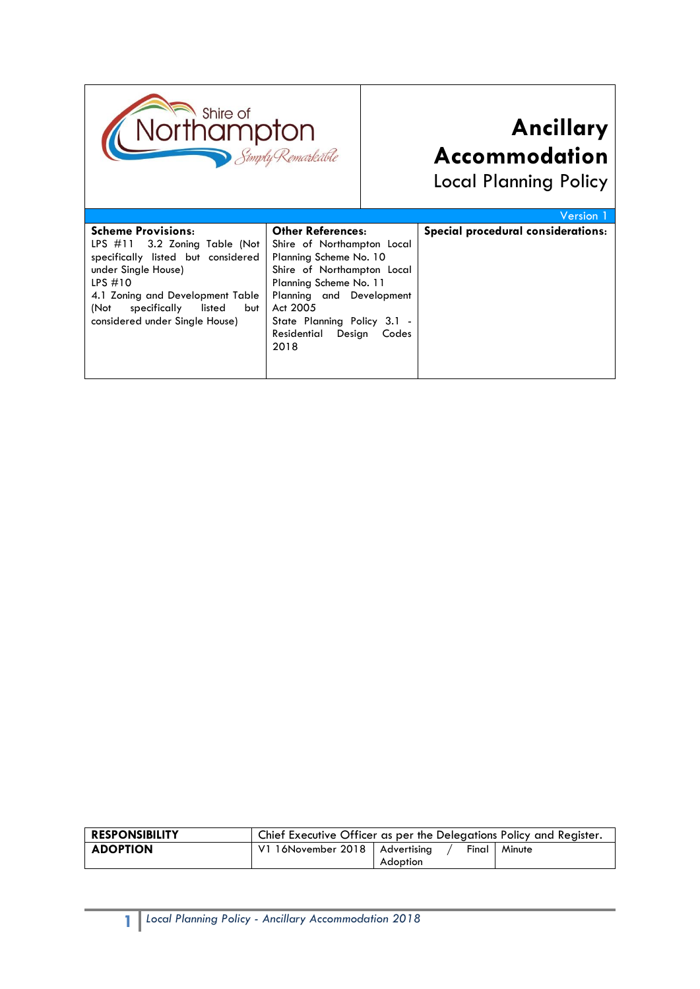

# **Ancillary Accommodation**

Local Planning Policy

|                                       |                                | Version 1                          |
|---------------------------------------|--------------------------------|------------------------------------|
| <b>Scheme Provisions:</b>             | <b>Other References:</b>       | Special procedural considerations: |
| LPS $\#11$ 3.2 Zoning Table (Not      | Shire of Northampton Local     |                                    |
| specifically listed but considered    | Planning Scheme No. 10         |                                    |
| under Single House)                   | Shire of Northampton Local     |                                    |
| LPS $#10$                             | Planning Scheme No. 11         |                                    |
| 4.1 Zoning and Development Table      | Planning and Development       |                                    |
| specifically<br>listed<br>(Not<br>but | Act 2005                       |                                    |
| considered under Single House)        | State Planning Policy 3.1 -    |                                    |
|                                       | Residential<br>Design<br>Codes |                                    |
|                                       | 2018                           |                                    |
|                                       |                                |                                    |
|                                       |                                |                                    |
|                                       |                                |                                    |

| <b>RESPONSIBILITY</b> | Chief Executive Officer as per the Delegations Policy and Register. |                     |        |
|-----------------------|---------------------------------------------------------------------|---------------------|--------|
| <b>ADOPTION</b>       | V1 16November 2018   Advertising                                    | Final I<br>Adoption | Minute |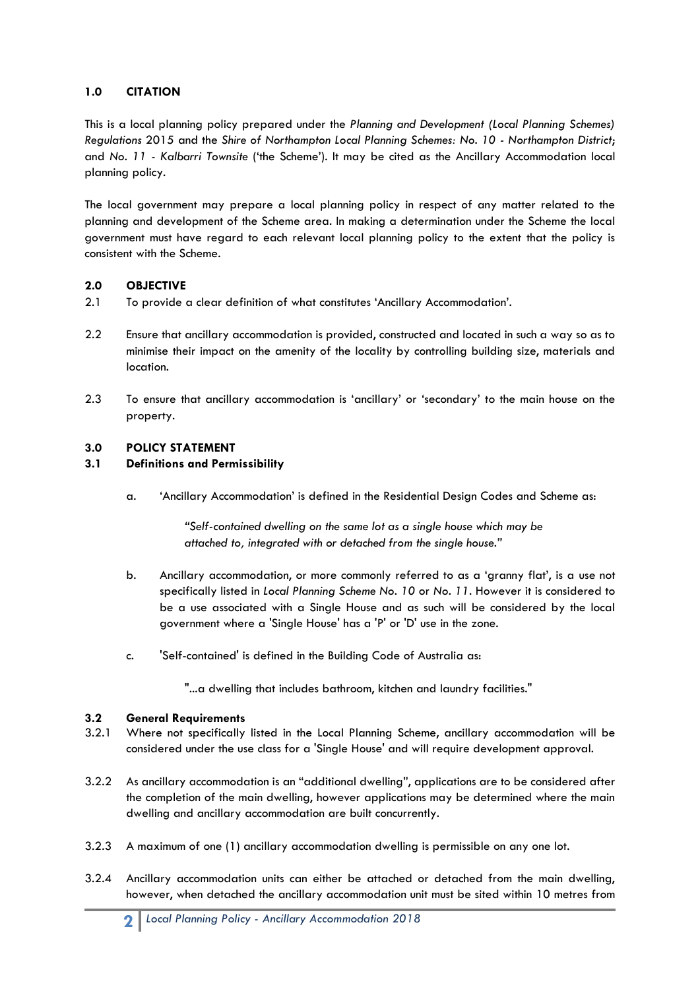## **1.0 CITATION**

This is a local planning policy prepared under the *Planning and Development (Local Planning Schemes) Regulations* 2015 and the *Shire of Northampton Local Planning Schemes: No. 10 - Northampton District*; and *No. 11 - Kalbarri Townsite* ('the Scheme'). It may be cited as the Ancillary Accommodation local planning policy.

The local government may prepare a local planning policy in respect of any matter related to the planning and development of the Scheme area. In making a determination under the Scheme the local government must have regard to each relevant local planning policy to the extent that the policy is consistent with the Scheme.

# **2.0 OBJECTIVE**

- 2.1 To provide a clear definition of what constitutes 'Ancillary Accommodation'.
- 2.2 Ensure that ancillary accommodation is provided, constructed and located in such a way so as to minimise their impact on the amenity of the locality by controlling building size, materials and location.
- 2.3 To ensure that ancillary accommodation is 'ancillary' or 'secondary' to the main house on the property.

### **3.0 POLICY STATEMENT**

### **3.1 Definitions and Permissibility**

a. 'Ancillary Accommodation' is defined in the Residential Design Codes and Scheme as:

*"Self-contained dwelling on the same lot as a single house which may be attached to, integrated with or detached from the single house."*

- b. Ancillary accommodation, or more commonly referred to as a 'granny flat', is a use not specifically listed in *Local Planning Scheme No. 10* or *No. 11*. However it is considered to be a use associated with a Single House and as such will be considered by the local government where a 'Single House' has a 'P' or 'D' use in the zone.
- c. 'Self-contained' is defined in the Building Code of Australia as:

"...a dwelling that includes bathroom, kitchen and laundry facilities."

### **3.2 General Requirements**

- 3.2.1 Where not specifically listed in the Local Planning Scheme, ancillary accommodation will be considered under the use class for a 'Single House' and will require development approval.
- 3.2.2 As ancillary accommodation is an "additional dwelling", applications are to be considered after the completion of the main dwelling, however applications may be determined where the main dwelling and ancillary accommodation are built concurrently.
- 3.2.3 A maximum of one (1) ancillary accommodation dwelling is permissible on any one lot.
- 3.2.4 Ancillary accommodation units can either be attached or detached from the main dwelling, however, when detached the ancillary accommodation unit must be sited within 10 metres from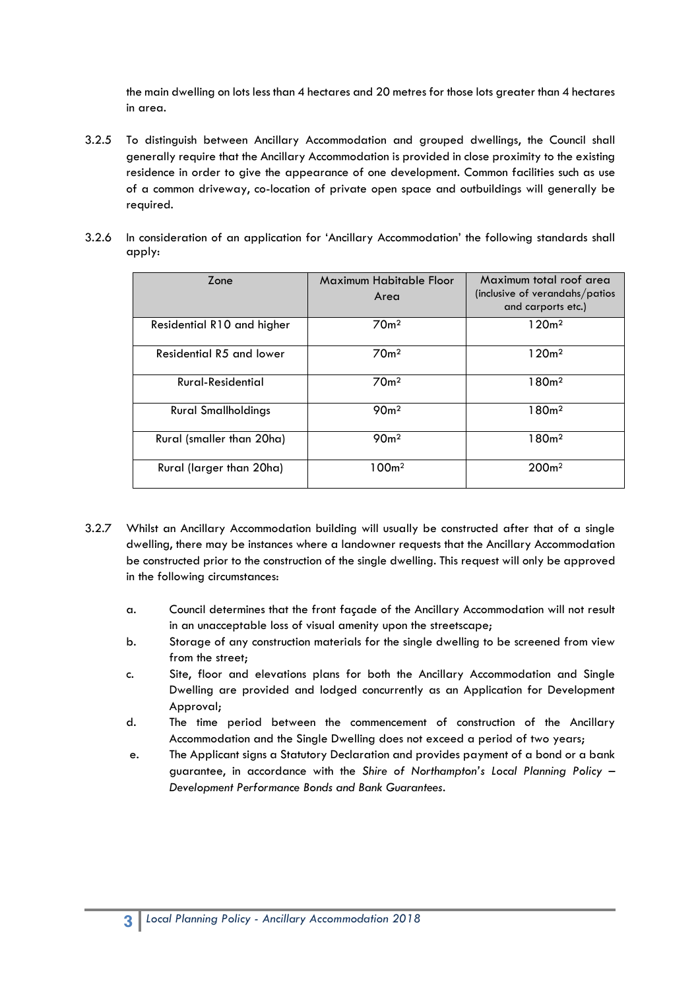the main dwelling on lots less than 4 hectares and 20 metres for those lots greater than 4 hectares in area.

- 3.2.5 To distinguish between Ancillary Accommodation and grouped dwellings, the Council shall generally require that the Ancillary Accommodation is provided in close proximity to the existing residence in order to give the appearance of one development. Common facilities such as use of a common driveway, co-location of private open space and outbuildings will generally be required.
- 3.2.6 In consideration of an application for 'Ancillary Accommodation' the following standards shall apply:

| Zone                       | Maximum Habitable Floor<br>Area | Maximum total roof area<br>(inclusive of verandahs/patios)<br>and carports etc.) |
|----------------------------|---------------------------------|----------------------------------------------------------------------------------|
| Residential R10 and higher | 70 <sub>m²</sub>                | 120m <sup>2</sup>                                                                |
| Residential R5 and lower   | 70 <sub>m²</sub>                | 120m <sup>2</sup>                                                                |
| Rural-Residential          | 70 <sub>m</sub> 2               | 180 <sub>m²</sub>                                                                |
| <b>Rural Smallholdings</b> | 90 <sub>m²</sub>                | 180 <sub>m²</sub>                                                                |
| Rural (smaller than 20ha)  | 90 <sub>m²</sub>                | 180 <sub>m²</sub>                                                                |
| Rural (larger than 20ha)   | 100 <sub>m²</sub>               | 200 <sub>m²</sub>                                                                |

- 3.2.7 Whilst an Ancillary Accommodation building will usually be constructed after that of a single dwelling, there may be instances where a landowner requests that the Ancillary Accommodation be constructed prior to the construction of the single dwelling. This request will only be approved in the following circumstances:
	- a. Council determines that the front façade of the Ancillary Accommodation will not result in an unacceptable loss of visual amenity upon the streetscape;
	- b. Storage of any construction materials for the single dwelling to be screened from view from the street;
	- c. Site, floor and elevations plans for both the Ancillary Accommodation and Single Dwelling are provided and lodged concurrently as an Application for Development Approval;
	- d. The time period between the commencement of construction of the Ancillary Accommodation and the Single Dwelling does not exceed a period of two years;
	- e. The Applicant signs a Statutory Declaration and provides payment of a bond or a bank guarantee, in accordance with the *Shire of Northampton's Local Planning Policy – Development Performance Bonds and Bank Guarantees.*